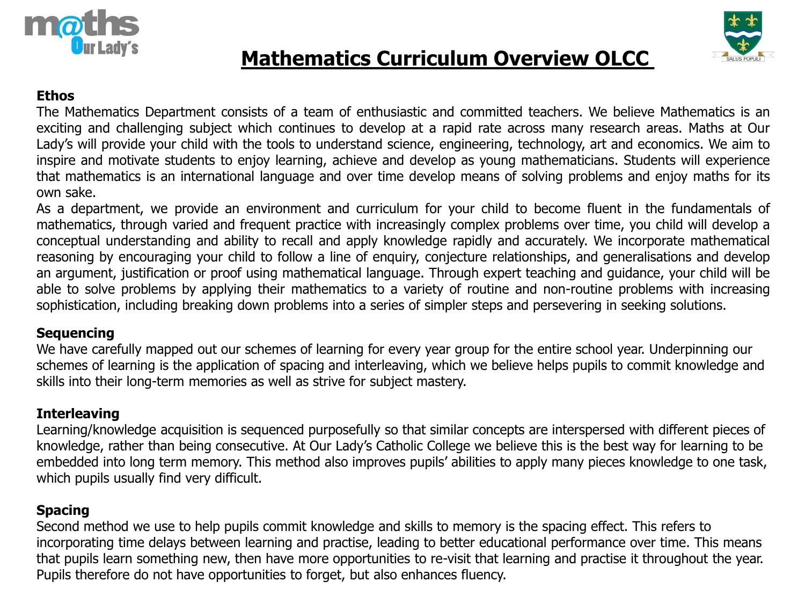



# **Mathematics Curriculum Overview OLCC**

#### **Ethos**

The Mathematics Department consists of a team of enthusiastic and committed teachers. We believe Mathematics is an exciting and challenging subject which continues to develop at a rapid rate across many research areas. Maths at Our Lady's will provide your child with the tools to understand science, engineering, technology, art and economics. We aim to inspire and motivate students to enjoy learning, achieve and develop as young mathematicians. Students will experience that mathematics is an international language and over time develop means of solving problems and enjoy maths for its own sake.

As a department, we provide an environment and curriculum for your child to become fluent in the fundamentals of mathematics, through varied and frequent practice with increasingly complex problems over time, you child will develop a conceptual understanding and ability to recall and apply knowledge rapidly and accurately. We incorporate mathematical reasoning by encouraging your child to follow a line of enquiry, conjecture relationships, and generalisations and develop an argument, justification or proof using mathematical language. Through expert teaching and guidance, your child will be able to solve problems by applying their mathematics to a variety of routine and non-routine problems with increasing sophistication, including breaking down problems into a series of simpler steps and persevering in seeking solutions.

#### **Sequencing**

We have carefully mapped out our schemes of learning for every year group for the entire school year. Underpinning our schemes of learning is the application of spacing and interleaving, which we believe helps pupils to commit knowledge and skills into their long-term memories as well as strive for subject mastery.

# **Interleaving**

Learning/knowledge acquisition is sequenced purposefully so that similar concepts are interspersed with different pieces of knowledge, rather than being consecutive. At Our Lady's Catholic College we believe this is the best way for learning to be embedded into long term memory. This method also improves pupils' abilities to apply many pieces knowledge to one task, which pupils usually find very difficult.

# **Spacing**

Second method we use to help pupils commit knowledge and skills to memory is the spacing effect. This refers to incorporating time delays between learning and practise, leading to better educational performance over time. This means that pupils learn something new, then have more opportunities to re-visit that learning and practise it throughout the year. Pupils therefore do not have opportunities to forget, but also enhances fluency.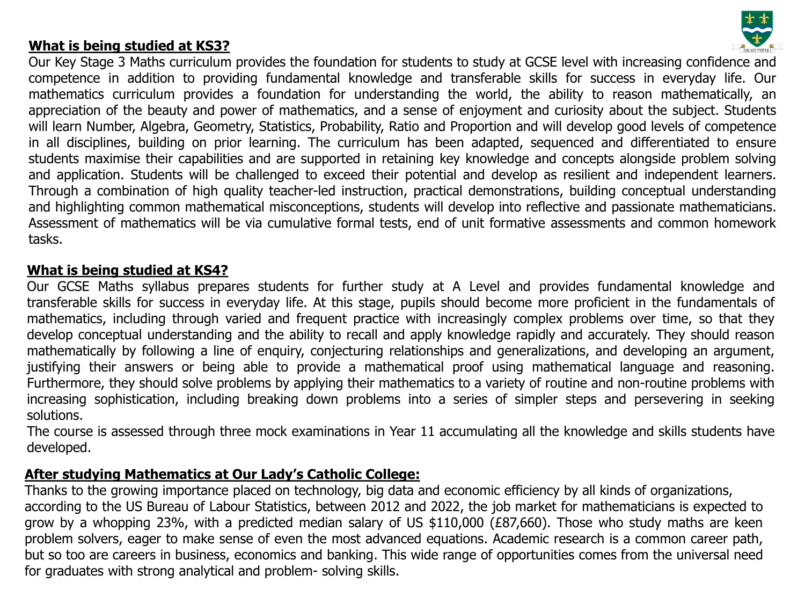### **What is being studied at KS3?**



Our Key Stage 3 Maths curriculum provides the foundation for students to study at GCSE level with increasing confidence and competence in addition to providing fundamental knowledge and transferable skills for success in everyday life. Our mathematics curriculum provides a foundation for understanding the world, the ability to reason mathematically, an appreciation of the beauty and power of mathematics, and a sense of enjoyment and curiosity about the subject. Students will learn Number, Algebra, Geometry, Statistics, Probability, Ratio and Proportion and will develop good levels of competence in all disciplines, building on prior learning. The curriculum has been adapted, sequenced and differentiated to ensure students maximise their capabilities and are supported in retaining key knowledge and concepts alongside problem solving and application. Students will be challenged to exceed their potential and develop as resilient and independent learners. Through a combination of high quality teacher-led instruction, practical demonstrations, building conceptual understanding and highlighting common mathematical misconceptions, students will develop into reflective and passionate mathematicians. Assessment of mathematics will be via cumulative formal tests, end of unit formative assessments and common homework tasks.

#### **What is being studied at KS4?**

Our GCSE Maths syllabus prepares students for further study at A Level and provides fundamental knowledge and transferable skills for success in everyday life. At this stage, pupils should become more proficient in the fundamentals of mathematics, including through varied and frequent practice with increasingly complex problems over time, so that they develop conceptual understanding and the ability to recall and apply knowledge rapidly and accurately. They should reason mathematically by following a line of enquiry, conjecturing relationships and generalizations, and developing an argument, justifying their answers or being able to provide a mathematical proof using mathematical language and reasoning. Furthermore, they should solve problems by applying their mathematics to a variety of routine and non-routine problems with increasing sophistication, including breaking down problems into a series of simpler steps and persevering in seeking solutions.

The course is assessed through three mock examinations in Year 11 accumulating all the knowledge and skills students have developed.

### **After studying Mathematics at Our Lady's Catholic College:**

Thanks to the growing importance placed on technology, big data and economic efficiency by all kinds of organizations, according to the US Bureau of Labour Statistics, between 2012 and 2022, the job market for mathematicians is expected to grow by a whopping 23%, with a predicted median salary of US \$110,000 (£87,660). Those who study maths are keen problem solvers, eager to make sense of even the most advanced equations. Academic research is a common career path, but so too are careers in business, economics and banking. This wide range of opportunities comes from the universal need for graduates with strong analytical and problem- solving skills.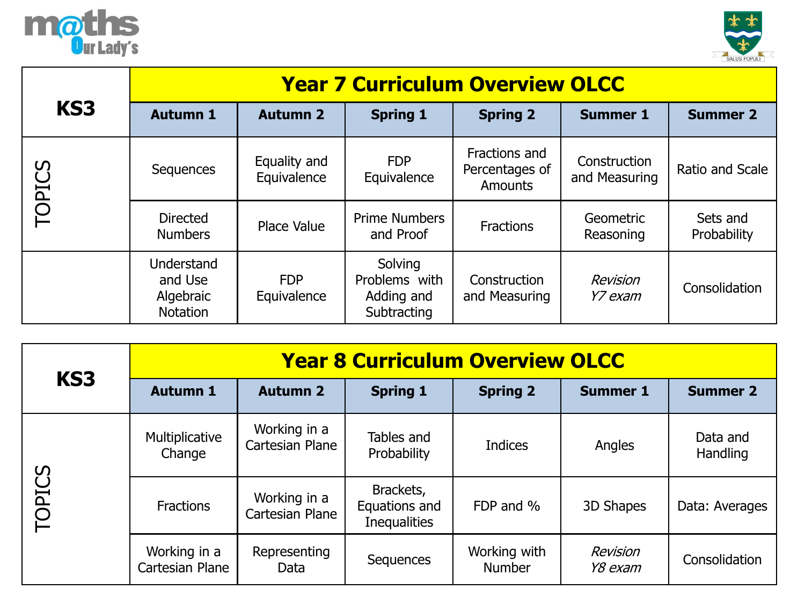



|        | <b>Year 7 Curriculum Overview OLCC</b>         |                             |                                                       |                                                   |                               |                         |  |
|--------|------------------------------------------------|-----------------------------|-------------------------------------------------------|---------------------------------------------------|-------------------------------|-------------------------|--|
| KS3    | <b>Autumn 1</b>                                | <b>Autumn 2</b>             | <b>Spring 1</b>                                       | <b>Spring 2</b>                                   | <b>Summer 1</b>               | <b>Summer 2</b>         |  |
| TOPICS | Sequences                                      | Equality and<br>Equivalence | <b>FDP</b><br>Equivalence                             | Fractions and<br>Percentages of<br><b>Amounts</b> | Construction<br>and Measuring | Ratio and Scale         |  |
|        | <b>Directed</b><br><b>Numbers</b>              | Place Value                 | <b>Prime Numbers</b><br>and Proof                     | <b>Fractions</b>                                  | Geometric<br>Reasoning        | Sets and<br>Probability |  |
|        | Understand<br>and Use<br>Algebraic<br>Notation | <b>FDP</b><br>Equivalence   | Solving<br>Problems with<br>Adding and<br>Subtracting | Construction<br>and Measuring                     | Revision<br>Y7 exam           | Consolidation           |  |

| KS3           | <b>Year 8 Curriculum Overview OLCC</b> |                                 |                                                   |                               |                     |                      |  |  |
|---------------|----------------------------------------|---------------------------------|---------------------------------------------------|-------------------------------|---------------------|----------------------|--|--|
|               | <b>Autumn 1</b>                        | <b>Autumn 2</b>                 | <b>Spring 1</b>                                   | <b>Spring 2</b>               | <b>Summer 1</b>     | <b>Summer 2</b>      |  |  |
|               | Multiplicative<br>Change               | Working in a<br>Cartesian Plane | Tables and<br>Probability                         | <b>Indices</b>                | Angles              | Data and<br>Handling |  |  |
| <b>TOPICS</b> | <b>Fractions</b>                       | Working in a<br>Cartesian Plane | Brackets,<br>Equations and<br><b>Inequalities</b> | FDP and %                     | 3D Shapes           | Data: Averages       |  |  |
|               | Working in a<br>Cartesian Plane        | Representing<br>Data            | Sequences                                         | Working with<br><b>Number</b> | Revision<br>Y8 exam | Consolidation        |  |  |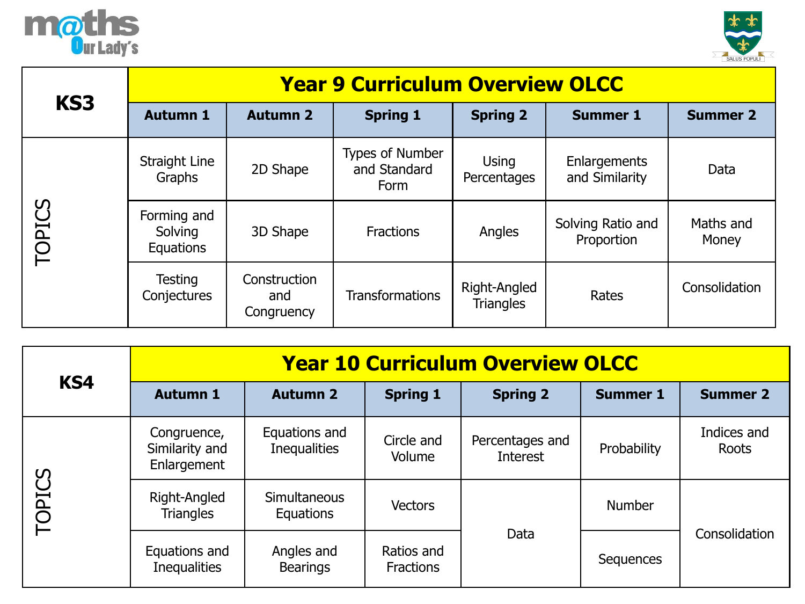



| KS3           | <b>Year 9 Curriculum Overview OLCC</b>     |                                   |                                                |                                  |                                 |                    |  |  |
|---------------|--------------------------------------------|-----------------------------------|------------------------------------------------|----------------------------------|---------------------------------|--------------------|--|--|
|               | <b>Autumn 1</b>                            | <b>Autumn 2</b>                   | <b>Spring 1</b>                                | <b>Spring 2</b>                  | <b>Summer 1</b>                 | <b>Summer 2</b>    |  |  |
|               | <b>Straight Line</b><br>Graphs             | 2D Shape                          | <b>Types of Number</b><br>and Standard<br>Form | <b>Using</b><br>Percentages      | Enlargements<br>and Similarity  | Data               |  |  |
| <b>TOPICS</b> | Forming and<br>Solving<br><b>Equations</b> | 3D Shape                          | <b>Fractions</b>                               | Angles                           | Solving Ratio and<br>Proportion | Maths and<br>Money |  |  |
|               | Testing<br>Conjectures                     | Construction<br>and<br>Congruency | <b>Transformations</b>                         | Right-Angled<br><b>Triangles</b> | Rates                           | Consolidation      |  |  |

| KS4           | <b>Year 10 Curriculum Overview OLCC</b>      |                                      |                                |                                    |                 |                      |  |  |
|---------------|----------------------------------------------|--------------------------------------|--------------------------------|------------------------------------|-----------------|----------------------|--|--|
|               | <b>Autumn 1</b>                              | <b>Autumn 2</b>                      | <b>Spring 1</b>                | <b>Spring 2</b>                    | <b>Summer 1</b> | <b>Summer 2</b>      |  |  |
|               | Congruence,<br>Similarity and<br>Enlargement | Equations and<br><b>Inequalities</b> | Circle and<br>Volume           | Percentages and<br><b>Interest</b> | Probability     | Indices and<br>Roots |  |  |
| <b>TOPICS</b> | Right-Angled<br><b>Triangles</b>             | <b>Simultaneous</b><br>Equations     | <b>Vectors</b>                 |                                    | <b>Number</b>   |                      |  |  |
|               | Equations and<br><b>Inequalities</b>         | Angles and<br><b>Bearings</b>        | Ratios and<br><b>Fractions</b> | Data                               | Sequences       | Consolidation        |  |  |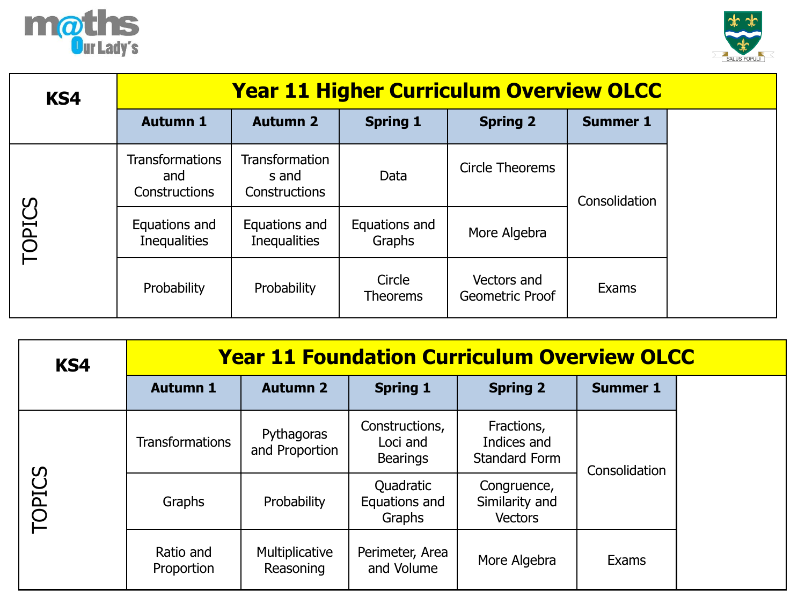



| KS4           | <b>Year 11 Higher Curriculum Overview OLCC</b> |                                                        |                           |                                |                 |  |
|---------------|------------------------------------------------|--------------------------------------------------------|---------------------------|--------------------------------|-----------------|--|
|               | <b>Autumn 1</b>                                | <b>Autumn 2</b>                                        | <b>Spring 1</b>           | <b>Spring 2</b>                | <b>Summer 1</b> |  |
| <b>TOPICS</b> | <b>Transformations</b><br>and<br>Constructions | <b>Transformation</b><br>s and<br><b>Constructions</b> | Data                      | Circle Theorems                | Consolidation   |  |
|               | Equations and<br><b>Inequalities</b>           | Equations and<br><b>Inequalities</b>                   | Equations and<br>Graphs   | More Algebra                   |                 |  |
|               | Probability                                    | Probability                                            | Circle<br><b>Theorems</b> | Vectors and<br>Geometric Proof | Exams           |  |

| KS4           | <b>Year 11 Foundation Curriculum Overview OLCC</b> |                              |                                               |                                                   |                 |  |
|---------------|----------------------------------------------------|------------------------------|-----------------------------------------------|---------------------------------------------------|-----------------|--|
|               | <b>Autumn 1</b>                                    | <b>Autumn 2</b>              | <b>Spring 1</b>                               | <b>Spring 2</b>                                   | <b>Summer 1</b> |  |
| <b>TOPICS</b> | <b>Transformations</b>                             | Pythagoras<br>and Proportion | Constructions,<br>Loci and<br><b>Bearings</b> | Fractions,<br>Indices and<br><b>Standard Form</b> | Consolidation   |  |
|               | Graphs                                             | Probability                  | Quadratic<br>Equations and<br>Graphs          | Congruence,<br>Similarity and<br><b>Vectors</b>   |                 |  |
|               | Ratio and<br>Proportion                            | Multiplicative<br>Reasoning  | Perimeter, Area<br>and Volume                 | More Algebra                                      | Exams           |  |